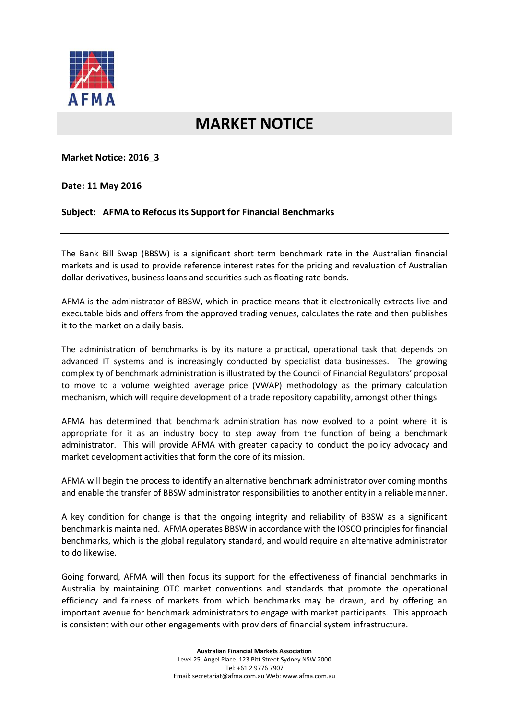

# **MARKET NOTICE**

## **Market Notice: 2016\_3**

### **Date: 11 May 2016**

### **Subject: AFMA to Refocus its Support for Financial Benchmarks**

The Bank Bill Swap (BBSW) is a significant short term benchmark rate in the Australian financial markets and is used to provide reference interest rates for the pricing and revaluation of Australian dollar derivatives, business loans and securities such as floating rate bonds.

AFMA is the administrator of BBSW, which in practice means that it electronically extracts live and executable bids and offers from the approved trading venues, calculates the rate and then publishes it to the market on a daily basis.

The administration of benchmarks is by its nature a practical, operational task that depends on advanced IT systems and is increasingly conducted by specialist data businesses. The growing complexity of benchmark administration is illustrated by the Council of Financial Regulators' proposal to move to a volume weighted average price (VWAP) methodology as the primary calculation mechanism, which will require development of a trade repository capability, amongst other things.

AFMA has determined that benchmark administration has now evolved to a point where it is appropriate for it as an industry body to step away from the function of being a benchmark administrator. This will provide AFMA with greater capacity to conduct the policy advocacy and market development activities that form the core of its mission.

AFMA will begin the process to identify an alternative benchmark administrator over coming months and enable the transfer of BBSW administrator responsibilities to another entity in a reliable manner.

A key condition for change is that the ongoing integrity and reliability of BBSW as a significant benchmark is maintained. AFMA operates BBSW in accordance with the IOSCO principles for financial benchmarks, which is the global regulatory standard, and would require an alternative administrator to do likewise.

Going forward, AFMA will then focus its support for the effectiveness of financial benchmarks in Australia by maintaining OTC market conventions and standards that promote the operational efficiency and fairness of markets from which benchmarks may be drawn, and by offering an important avenue for benchmark administrators to engage with market participants. This approach is consistent with our other engagements with providers of financial system infrastructure.